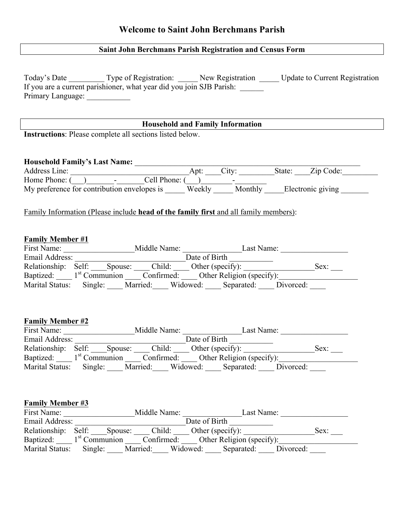## **Saint John Berchmans Parish Registration and Census Form**

|                                                          | Household and Family Information<br><u>Languarantee and the set of the set of the set of the set of the set of the set of the set of the set of the set of the set of the set of the set of the set of the set of the set of the s</u>     |  |
|----------------------------------------------------------|--------------------------------------------------------------------------------------------------------------------------------------------------------------------------------------------------------------------------------------------|--|
| Instructions: Please complete all sections listed below. |                                                                                                                                                                                                                                            |  |
|                                                          |                                                                                                                                                                                                                                            |  |
|                                                          |                                                                                                                                                                                                                                            |  |
|                                                          |                                                                                                                                                                                                                                            |  |
|                                                          |                                                                                                                                                                                                                                            |  |
|                                                          |                                                                                                                                                                                                                                            |  |
|                                                          | Family Information (Please include head of the family first and all family members):                                                                                                                                                       |  |
|                                                          |                                                                                                                                                                                                                                            |  |
| <b>Family Member #1</b>                                  |                                                                                                                                                                                                                                            |  |
|                                                          |                                                                                                                                                                                                                                            |  |
|                                                          | Date of Birth                                                                                                                                                                                                                              |  |
|                                                          | Relationship: Self: Spouse: Child: Other (specify): Sex: Sex: Sex: Sex: Child: Other Religion (specify):                                                                                                                                   |  |
|                                                          | Marital Status: Single: ___ Married: ___ Widowed: ___ Separated: ___ Divorced: ___                                                                                                                                                         |  |
|                                                          |                                                                                                                                                                                                                                            |  |
|                                                          |                                                                                                                                                                                                                                            |  |
|                                                          |                                                                                                                                                                                                                                            |  |
|                                                          |                                                                                                                                                                                                                                            |  |
|                                                          |                                                                                                                                                                                                                                            |  |
|                                                          |                                                                                                                                                                                                                                            |  |
|                                                          |                                                                                                                                                                                                                                            |  |
|                                                          | Email Address: Date of Birth Date of Birth Relationship: Self: Spouse: Child: Other (specify): Sex: Sex: Sex: Netationship: $\frac{1}{2}$                                                                                                  |  |
|                                                          | Baptized: 1 <sup>st</sup> Communion _____ Confirmed: _____ Other Religion (specify): ________________________<br>Marital Status: Single: ____ Married: ____ Widowed: ____ Separated: ____ Divorced:                                        |  |
|                                                          |                                                                                                                                                                                                                                            |  |
|                                                          |                                                                                                                                                                                                                                            |  |
|                                                          |                                                                                                                                                                                                                                            |  |
|                                                          |                                                                                                                                                                                                                                            |  |
| <b>Family Member #2</b><br><b>Family Member #3</b>       |                                                                                                                                                                                                                                            |  |
|                                                          | Email Address:<br>Relationship: Self: Spouse: Child: Other (specify): Sex: Sex: Child: Communion Confirmed: Other (specify): Sex: Child: Other Religion (specify): Sex: Chaptized: 1 <sup>st</sup> Communion Confirmed: Undowed: Single: N |  |